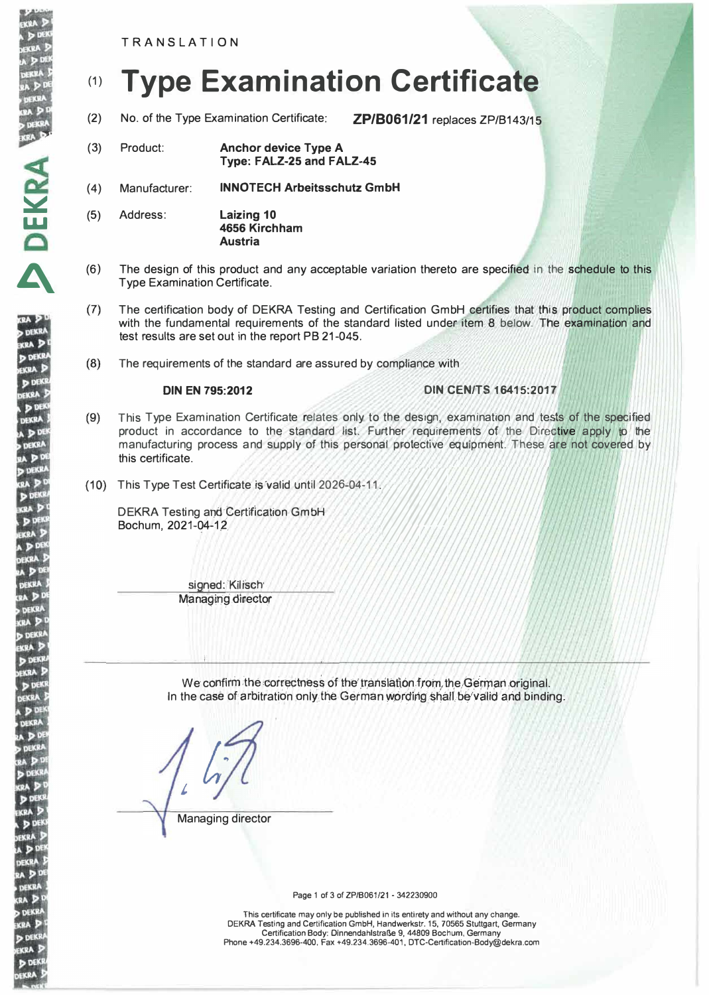**TRANSLATION** 

DEKRA BER

**DEKR** 

**KRA** D **DEKR** 

**KRA DEK** 

DEKRA **DE** 

DEKRA

a D<sup>Di</sup> **DEKRA** 

u pi

**DEKR** 

**DE CEA** D

**DDE** 

EKRA<sup>3</sup>  $P<sub>0</sub>$ EKRA APD DEKRA

 $(1)$ 

**DEKRA RA** D **DEKR KRA** P **DEKK** EKRA 5

**D** DEK

**SEKRA**  $D<sub>0</sub>$ **DEKRA**  $AP<sup>2</sup>$ , dekr

DDE KRA 3

EKRA ! **DP** EKRA  $2A \nvert P$ DEKRA

RA<sub>D</sub> **DEKR** 

kra D

**DEKR** 

**KRA** S **DEKI** EKRA

# **Type Examination Certificate**  $(1)$

No. of the Type Examination Certificate:  $(2)$ 

ZP/B061/21 replaces ZP/B143/15

- $(3)$ Product: **Anchor device Type A** Type: FALZ-25 and FALZ-45
- $(4)$ Manufacturer: **INNOTECH Arbeitsschutz GmbH**
- Address: **Laizing 10**  $(5)$ 4656 Kirchham **Austria**
- The design of this product and any acceptable variation thereto are specified in the schedule to this  $(6)$ **Type Examination Certificate.**
- $(7)$ The certification body of DEKRA Testing and Certification GmbH certifies that this product complies with the fundamental requirements of the standard listed under item 8 below. The examination and test results are set out in the report PB 21-045.
- $(8)$ The requirements of the standard are assured by compliance with

#### **DIN EN 795:2012**

# **DIN CEN/TS 16415:2017**

- $(9)$ This Type Examination Certificate relates only to the design, examination and tests of the specified product in accordance to the standard list. Further requirements of the Directive apply to the manufacturing process and supply of this personal protective equipment. These are not covered by this certificate.
- (10) This Type Test Certificate is valid until 2026-04-11.

**DEKRA Testing and Certification GmbH** Bochum, 2021-04-12

> signed: Kilisch **Managing director**

We confirm the correctness of the translation from the German original. In the case of arbitration only the German wording shall be valid and binding.

Managing director

Page 1 of 3 of ZP/B061/21 - 342230900

This certificate may only be published in its entirety and without any change. DEKRA Testing and Certification GmbH, Handwerkstr. 15, 70565 Stuttgart, Germany<br>Certification Body: Dinnendahlstraße 9, 44809 Bochum, Germany Phone +49.234.3696-400, Fax +49.234.3696-401, DTC-Certification-Body@dekra.com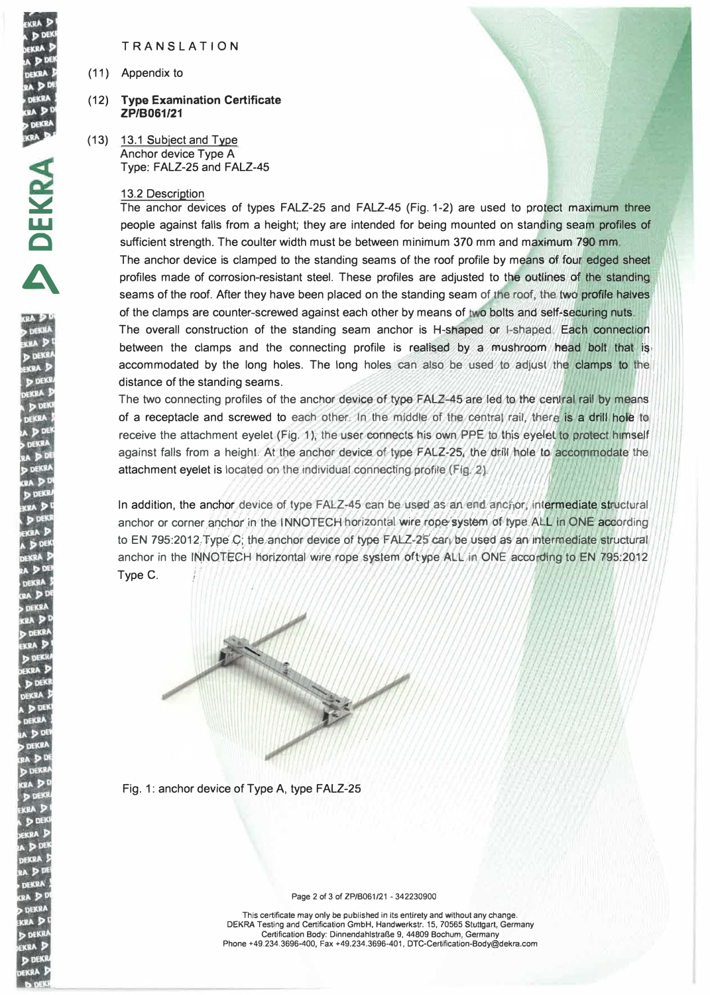TRANS LATIO N

(11) Appendix to

## (12) Type Examination Certificate **ZP/B061/21**

(13) 13.1 Subject and Type Anchor device Type A Type: FALZ-25 and FALZ-45

#### 13.2 Description

The anchor devices of types FALZ-25 and FALZ-45 (Fig. 1-2) are used to protect maximum three people against falls from a height; they are intended for being mounted on standing seam profiles of sufficient strength. The coulter width must be between minimum 370 mm and maximum 790 mm.

The anchor device is clamped to the standing seams of the roof profile by means of four edged sheet profiles made of corrosion-resistant steel. These profiles are adjusted to the outlines of the standing seams of the roof. After they have been placed on the standing seam of the roof, the **two profile halves** of the clamps are counter-screwed against each other by means of two bolts and self-securing nuts. The overall construction of the standing seam anchor is H-shaped or I-shaped. Each connection between the clamps and the connecting profile is realised by a mushroom head bolt that is accommodated by the long holes. The long holes can also be used to adjust the clamps to the distance of the standing seams. *1*

The two connecting profiles of the anchor device of type FALZ-45 are led to the central rail by means of a receptacle and screwed to each other. In the middle of the central rail, there is a drill hole to receive the attachment eyelet (Fig. 1), the user connects his own PPE to this eyelet to protect hi<mark>mself</mark> against falls from a height. At the anchor device of type FALZ-25, the drill hole to accommodate the attachment eyelet is located on the individual connecting profile (Fig. 2). //; 7 *I I* <sup>1</sup>*/1* / ///.. I *I* 

In addition, the anchor device of type FALZ-45 can be used as an end anchor, intermediate structural anchor or corner anchor in the INNOTECH horizontal wire rope system of type ALL in ONE according to EN 795:2012 *Type C*; the anchor device of type FALZ-25 car be used as an intermediate structural anchor in the INNOTECH horizontal wire rope system of type ALL in ONE according to EN 795:2012 Type C.



Fig. 1: anchor device of Type A, type FALZ-25

Page 2 of 3 of ZP/8061/21 • 342230900

This certificate may only be published in its entirety and without any change. DEKRA Testing and Certification GmbH, Handwerkstr. 15, 70565 Stuttgart, Germany Certification Body: Dinnendahlstraße 9, 44809 Bochum, Germany Phone +49.234.3696-400, Fax +49.234.3696-401, DTC-Certification-Body@dekra.com

**EKRA**